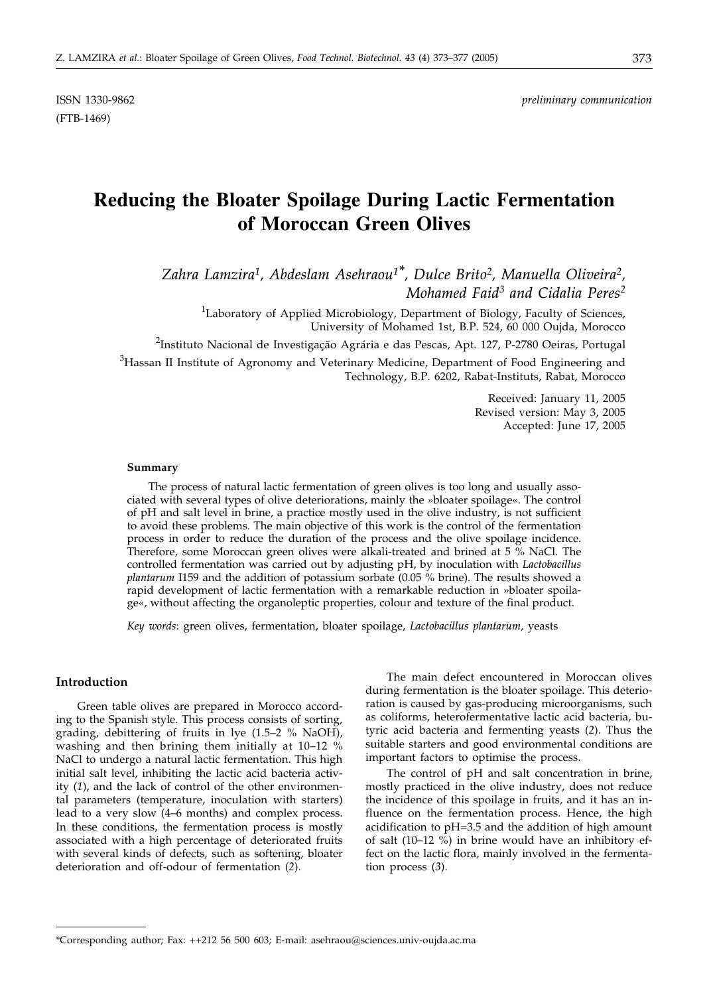ISSN 1330-9862 *preliminary communication*

# **Reducing the Bloater Spoilage During Lactic Fermentation of Moroccan Green Olives**

*Zahra Lamzira1, Abdeslam Asehraou1\*, Dulce Brito2, Manuella Oliveira2, Mohamed Faid3 and Cidalia Peres2*

<sup>1</sup>Laboratory of Applied Microbiology, Department of Biology, Faculty of Sciences, University of Mohamed 1st, B.P. 524, 60 000 Oujda, Morocco

<sup>2</sup>Instituto Nacional de Investigação Agrária e das Pescas, Apt. 127, P-2780 Oeiras, Portugal

 $3$ Hassan II Institute of Agronomy and Veterinary Medicine, Department of Food Engineering and Technology, B.P. 6202, Rabat-Instituts, Rabat, Morocco

> Received: January 11, 2005 Revised version: May 3, 2005 Accepted: June 17, 2005

#### **Summary**

The process of natural lactic fermentation of green olives is too long and usually associated with several types of olive deteriorations, mainly the »bloater spoilage«. The control of pH and salt level in brine, a practice mostly used in the olive industry, is not sufficient to avoid these problems. The main objective of this work is the control of the fermentation process in order to reduce the duration of the process and the olive spoilage incidence. Therefore, some Moroccan green olives were alkali-treated and brined at 5 % NaCl. The controlled fermentation was carried out by adjusting pH, by inoculation with *Lactobacillus plantarum* I159 and the addition of potassium sorbate (0.05 % brine). The results showed a rapid development of lactic fermentation with a remarkable reduction in »bloater spoilage«, without affecting the organoleptic properties, colour and texture of the final product.

*Key words*: green olives, fermentation, bloater spoilage, *Lactobacillus plantarum*, yeasts

#### **Introduction**

Green table olives are prepared in Morocco according to the Spanish style. This process consists of sorting, grading, debittering of fruits in lye (1.5–2 % NaOH), washing and then brining them initially at 10–12 % NaCl to undergo a natural lactic fermentation. This high initial salt level, inhibiting the lactic acid bacteria activity (*1*), and the lack of control of the other environmental parameters (temperature, inoculation with starters) lead to a very slow (4–6 months) and complex process. In these conditions, the fermentation process is mostly associated with a high percentage of deteriorated fruits with several kinds of defects, such as softening, bloater deterioration and off-odour of fermentation (*2*).

The main defect encountered in Moroccan olives during fermentation is the bloater spoilage. This deterioration is caused by gas-producing microorganisms, such as coliforms, heterofermentative lactic acid bacteria, butyric acid bacteria and fermenting yeasts (*2*). Thus the suitable starters and good environmental conditions are important factors to optimise the process.

The control of pH and salt concentration in brine, mostly practiced in the olive industry, does not reduce the incidence of this spoilage in fruits, and it has an influence on the fermentation process. Hence, the high acidification to pH=3.5 and the addition of high amount of salt (10–12 %) in brine would have an inhibitory effect on the lactic flora, mainly involved in the fermentation process (*3*).

<sup>\*</sup>Corresponding author; Fax: ++212 56 500 603; E-mail: asehraou@sciences.univ-oujda.ac.ma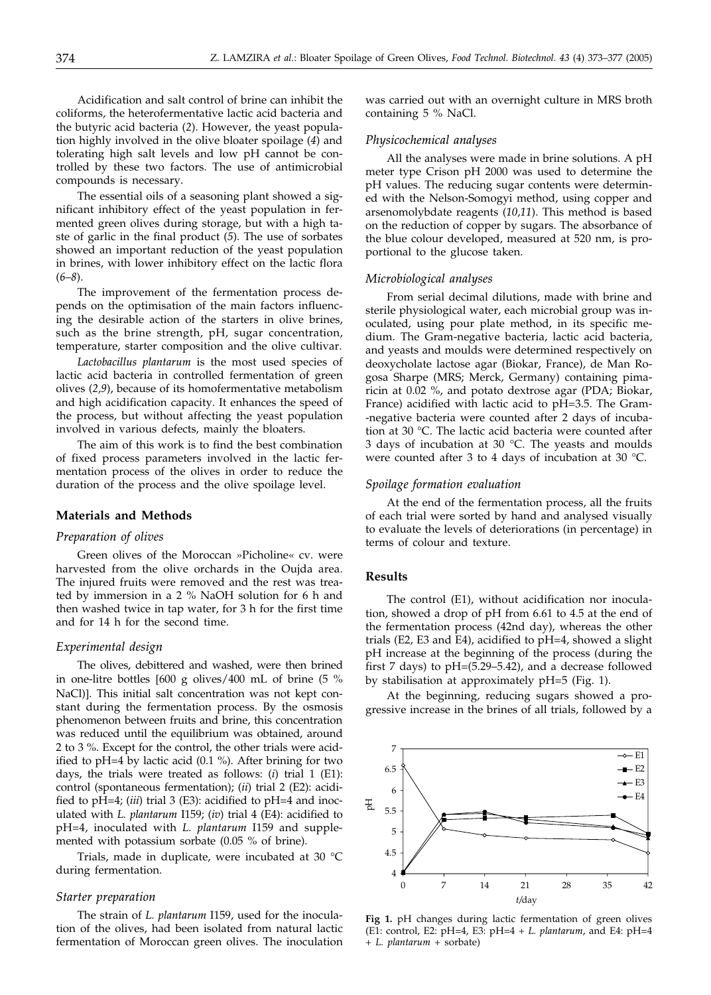Acidification and salt control of brine can inhibit the coliforms, the heterofermentative lactic acid bacteria and the butyric acid bacteria (*2*). However, the yeast population highly involved in the olive bloater spoilage (*4*) and tolerating high salt levels and low pH cannot be controlled by these two factors. The use of antimicrobial compounds is necessary.

The essential oils of a seasoning plant showed a significant inhibitory effect of the yeast population in fermented green olives during storage, but with a high taste of garlic in the final product (*5*). The use of sorbates showed an important reduction of the yeast population in brines, with lower inhibitory effect on the lactic flora (*6*–*8*).

The improvement of the fermentation process depends on the optimisation of the main factors influencing the desirable action of the starters in olive brines, such as the brine strength, pH, sugar concentration, temperature, starter composition and the olive cultivar.

*Lactobacillus plantarum* is the most used species of lactic acid bacteria in controlled fermentation of green olives (*2*,*9*), because of its homofermentative metabolism and high acidification capacity. It enhances the speed of the process, but without affecting the yeast population involved in various defects, mainly the bloaters.

The aim of this work is to find the best combination of fixed process parameters involved in the lactic fermentation process of the olives in order to reduce the duration of the process and the olive spoilage level.

### **Materials and Methods**

#### *Preparation of olives*

Green olives of the Moroccan »Picholine« cv. were harvested from the olive orchards in the Oujda area. The injured fruits were removed and the rest was treated by immersion in a 2 % NaOH solution for 6 h and then washed twice in tap water, for 3 h for the first time and for 14 h for the second time.

# *Experimental design*

The olives, debittered and washed, were then brined in one-litre bottles 600 g olives/400 mL of brine (5 % NaCl). This initial salt concentration was not kept constant during the fermentation process. By the osmosis phenomenon between fruits and brine, this concentration was reduced until the equilibrium was obtained, around 2 to 3 %. Except for the control, the other trials were acidified to pH=4 by lactic acid (0.1 %). After brining for two days, the trials were treated as follows: (*i*) trial 1 (E1): control (spontaneous fermentation); (*ii*) trial 2 (E2): acidified to pH=4; (*iii*) trial 3 (E3): acidified to pH=4 and inoculated with *L. plantarum* I159; (*iv*) trial 4 (E4): acidified to pH=4, inoculated with *L. plantarum* I159 and supplemented with potassium sorbate (0.05 % of brine).

Trials, made in duplicate, were incubated at 30 °C during fermentation.

#### *Starter preparation*

The strain of *L. plantarum* I159, used for the inoculation of the olives, had been isolated from natural lactic fermentation of Moroccan green olives. The inoculation was carried out with an overnight culture in MRS broth containing 5 % NaCl.

# *Physicochemical analyses*

All the analyses were made in brine solutions. A pH meter type Crison pH 2000 was used to determine the pH values. The reducing sugar contents were determined with the Nelson-Somogyi method, using copper and arsenomolybdate reagents (*10*,*11*). This method is based on the reduction of copper by sugars. The absorbance of the blue colour developed, measured at 520 nm, is proportional to the glucose taken.

#### *Microbiological analyses*

From serial decimal dilutions, made with brine and sterile physiological water, each microbial group was inoculated, using pour plate method, in its specific medium. The Gram-negative bacteria, lactic acid bacteria, and yeasts and moulds were determined respectively on deoxycholate lactose agar (Biokar, France), de Man Rogosa Sharpe (MRS; Merck, Germany) containing pimaricin at 0.02 %, and potato dextrose agar (PDA; Biokar, France) acidified with lactic acid to pH=3.5. The Gram- -negative bacteria were counted after 2 days of incubation at 30 °C. The lactic acid bacteria were counted after 3 days of incubation at 30 °C. The yeasts and moulds were counted after 3 to 4 days of incubation at 30 °C.

# *Spoilage formation evaluation*

At the end of the fermentation process, all the fruits of each trial were sorted by hand and analysed visually to evaluate the levels of deteriorations (in percentage) in terms of colour and texture.

# **Results**

The control (E1), without acidification nor inoculation, showed a drop of pH from 6.61 to 4.5 at the end of the fermentation process (42nd day), whereas the other trials (E2, E3 and E4), acidified to pH=4, showed a slight pH increase at the beginning of the process (during the first 7 days) to pH=(5.29–5.42), and a decrease followed by stabilisation at approximately pH=5 (Fig. 1).

At the beginning, reducing sugars showed a progressive increase in the brines of all trials, followed by a



**Fig 1.** pH changes during lactic fermentation of green olives (E1: control, E2: pH=4, E3: pH=4 + *L. plantarum*, and E4: pH=4 + *L. plantarum* + sorbate)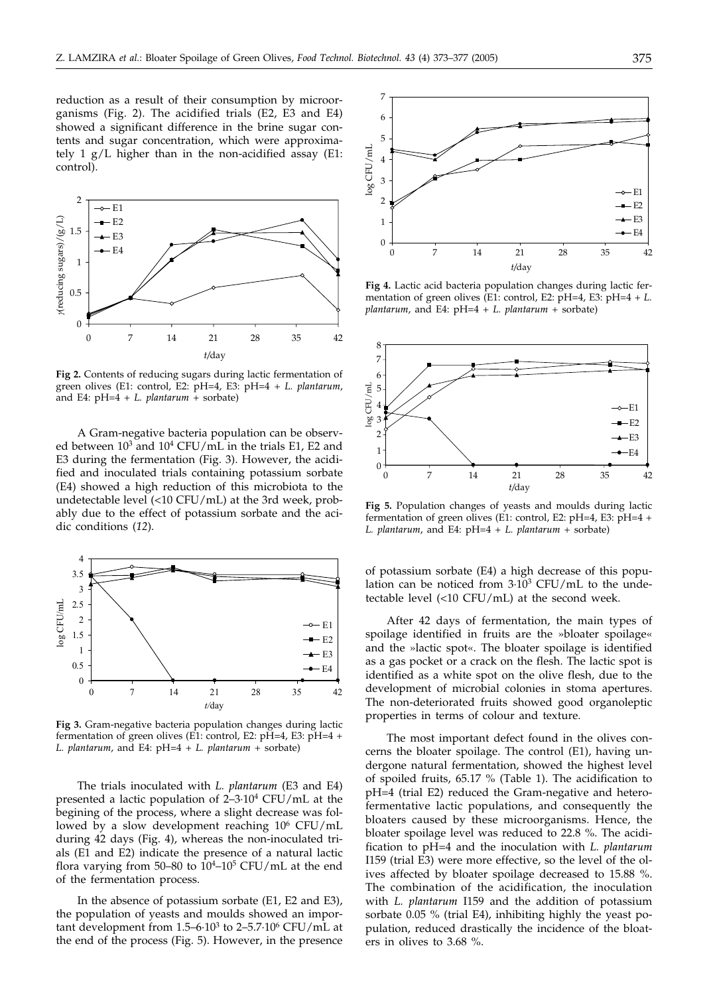reduction as a result of their consumption by microorganisms (Fig. 2). The acidified trials (E2, E3 and E4) showed a significant difference in the brine sugar contents and sugar concentration, which were approximately 1 g/L higher than in the non-acidified assay (E1: control).



**Fig 2.** Contents of reducing sugars during lactic fermentation of green olives (E1: control, E2: pH=4, E3: pH=4 + *L. plantarum*, and E4: pH=4 + *L. plantarum* + sorbate)

A Gram-negative bacteria population can be observed between 103 and 104 CFU/mL in the trials E1, E2 and E3 during the fermentation (Fig. 3). However, the acidified and inoculated trials containing potassium sorbate (E4) showed a high reduction of this microbiota to the undetectable level (<10 CFU/mL) at the 3rd week, probably due to the effect of potassium sorbate and the acidic conditions (*12*).



**Fig 3.** Gram-negative bacteria population changes during lactic fermentation of green olives (E1: control, E2: pH=4, E3: pH=4 + *L. plantarum*, and E4: pH=4 + *L. plantarum* + sorbate)

The trials inoculated with *L. plantarum* (E3 and E4) presented a lactic population of 2–3·104 CFU/mL at the begining of the process, where a slight decrease was followed by a slow development reaching 106 CFU/mL during 42 days (Fig. 4), whereas the non-inoculated trials (E1 and E2) indicate the presence of a natural lactic flora varying from 50–80 to  $10^4$ – $10^5$  CFU/mL at the end of the fermentation process.

In the absence of potassium sorbate (E1, E2 and E3), the population of yeasts and moulds showed an important development from  $1.5-6.10^3$  to  $2-5.7.10^6$  CFU/mL at the end of the process (Fig. 5). However, in the presence



**Fig 4.** Lactic acid bacteria population changes during lactic fermentation of green olives (E1: control, E2: pH=4, E3: pH=4 + *L. plantarum*, and E4: pH=4 + *L. plantarum* + sorbate)



**Fig 5.** Population changes of yeasts and moulds during lactic fermentation of green olives (E1: control, E2: pH=4, E3: pH=4 + *L. plantarum*, and E4: pH=4 + *L. plantarum* + sorbate)

of potassium sorbate (E4) a high decrease of this population can be noticed from  $3.10^3$  CFU/mL to the undetectable level (<10 CFU/mL) at the second week.

After 42 days of fermentation, the main types of spoilage identified in fruits are the »bloater spoilage« and the »lactic spot«. The bloater spoilage is identified as a gas pocket or a crack on the flesh. The lactic spot is identified as a white spot on the olive flesh, due to the development of microbial colonies in stoma apertures. The non-deteriorated fruits showed good organoleptic properties in terms of colour and texture.

The most important defect found in the olives concerns the bloater spoilage. The control (E1), having undergone natural fermentation, showed the highest level of spoiled fruits, 65.17 % (Table 1). The acidification to pH=4 (trial E2) reduced the Gram-negative and heterofermentative lactic populations, and consequently the bloaters caused by these microorganisms. Hence, the bloater spoilage level was reduced to 22.8 %. The acidification to pH=4 and the inoculation with *L. plantarum* I159 (trial E3) were more effective, so the level of the olives affected by bloater spoilage decreased to 15.88 %. The combination of the acidification, the inoculation with *L. plantarum* I159 and the addition of potassium sorbate 0.05 % (trial E4), inhibiting highly the yeast population, reduced drastically the incidence of the bloaters in olives to 3.68 %.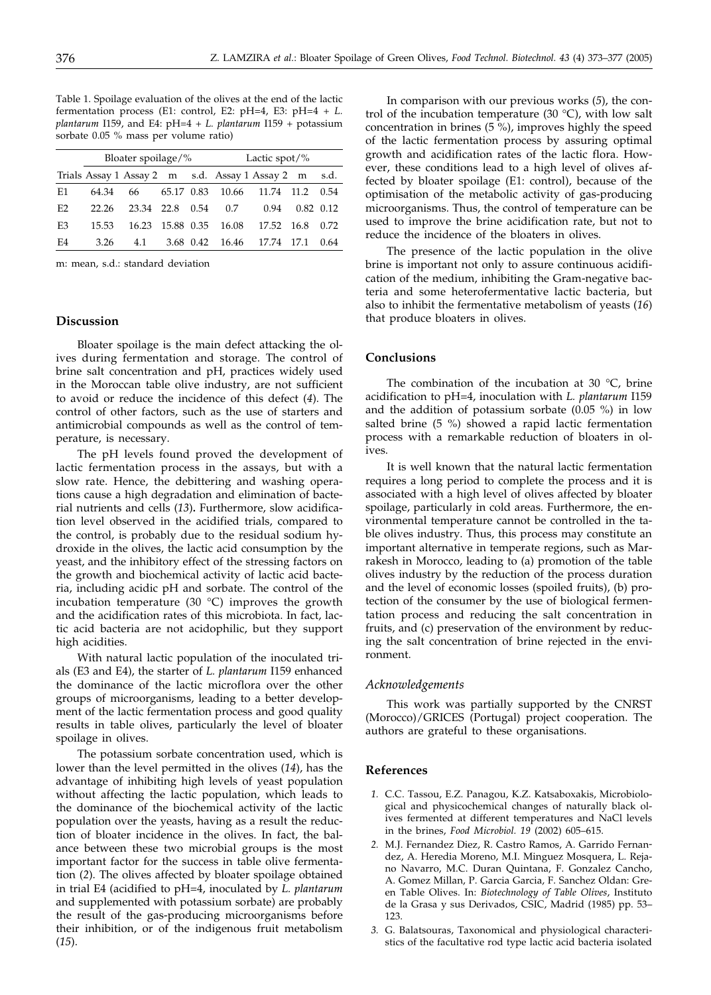Table 1. Spoilage evaluation of the olives at the end of the lactic fermentation process (E1: control, E2: pH=4, E3: pH=4 + *L. plantarum* I159, and E4: pH=4 + *L. plantarum* I159 + potassium sorbate 0.05 % mass per volume ratio)

|                | Bloater spoilage/% |            |            |      | Lactic spot/ $%$       |                                                 |                   |               |
|----------------|--------------------|------------|------------|------|------------------------|-------------------------------------------------|-------------------|---------------|
|                |                    |            |            |      |                        | Trials Assay 1 Assay 2 m s.d. Assay 1 Assay 2 m |                   | s.d.          |
| E1             | 64.34              | 66         |            |      | 65.17 0.83 10.66 11.74 |                                                 | $11.2 \quad 0.54$ |               |
| E2             | 22.26              | 23.34 22.8 |            | 0.54 | 0.7                    | 0.94                                            |                   | $0.82$ $0.12$ |
| E <sub>3</sub> | 15.53              | 16.23      | 15.88 0.35 |      | 16.08                  | 17.52 16.8                                      |                   | 0.72          |
| E4             | 3.26               | 4.1        |            |      |                        | 3.68 0.42 16.46 17.74 17.1                      |                   | 0.64          |

m: mean, s.d.: standard deviation

#### **Discussion**

Bloater spoilage is the main defect attacking the olives during fermentation and storage. The control of brine salt concentration and pH, practices widely used in the Moroccan table olive industry, are not sufficient to avoid or reduce the incidence of this defect (*4*). The control of other factors, such as the use of starters and antimicrobial compounds as well as the control of temperature, is necessary.

The pH levels found proved the development of lactic fermentation process in the assays, but with a slow rate. Hence, the debittering and washing operations cause a high degradation and elimination of bacterial nutrients and cells (*13*)**.** Furthermore, slow acidification level observed in the acidified trials, compared to the control, is probably due to the residual sodium hydroxide in the olives, the lactic acid consumption by the yeast, and the inhibitory effect of the stressing factors on the growth and biochemical activity of lactic acid bacteria, including acidic pH and sorbate. The control of the incubation temperature (30 °C) improves the growth and the acidification rates of this microbiota. In fact, lactic acid bacteria are not acidophilic, but they support high acidities.

With natural lactic population of the inoculated trials (E3 and E4), the starter of *L. plantarum* I159 enhanced the dominance of the lactic microflora over the other groups of microorganisms, leading to a better development of the lactic fermentation process and good quality results in table olives, particularly the level of bloater spoilage in olives.

The potassium sorbate concentration used, which is lower than the level permitted in the olives (*14*), has the advantage of inhibiting high levels of yeast population without affecting the lactic population, which leads to the dominance of the biochemical activity of the lactic population over the yeasts, having as a result the reduction of bloater incidence in the olives. In fact, the balance between these two microbial groups is the most important factor for the success in table olive fermentation (*2*). The olives affected by bloater spoilage obtained in trial E4 (acidified to pH=4, inoculated by *L. plantarum* and supplemented with potassium sorbate) are probably the result of the gas-producing microorganisms before their inhibition, or of the indigenous fruit metabolism (*15*).

In comparison with our previous works (*5*), the control of the incubation temperature (30 °C), with low salt concentration in brines (5 %), improves highly the speed of the lactic fermentation process by assuring optimal growth and acidification rates of the lactic flora. However, these conditions lead to a high level of olives affected by bloater spoilage (E1: control), because of the optimisation of the metabolic activity of gas-producing microorganisms. Thus, the control of temperature can be used to improve the brine acidification rate, but not to reduce the incidence of the bloaters in olives.

The presence of the lactic population in the olive brine is important not only to assure continuous acidification of the medium, inhibiting the Gram-negative bacteria and some heterofermentative lactic bacteria, but also to inhibit the fermentative metabolism of yeasts (*16*) that produce bloaters in olives.

# **Conclusions**

The combination of the incubation at 30 °C, brine acidification to pH=4, inoculation with *L. plantarum* I159 and the addition of potassium sorbate (0.05 %) in low salted brine (5 %) showed a rapid lactic fermentation process with a remarkable reduction of bloaters in olives.

It is well known that the natural lactic fermentation requires a long period to complete the process and it is associated with a high level of olives affected by bloater spoilage, particularly in cold areas. Furthermore, the environmental temperature cannot be controlled in the table olives industry. Thus, this process may constitute an important alternative in temperate regions, such as Marrakesh in Morocco, leading to (a) promotion of the table olives industry by the reduction of the process duration and the level of economic losses (spoiled fruits), (b) protection of the consumer by the use of biological fermentation process and reducing the salt concentration in fruits, and (c) preservation of the environment by reducing the salt concentration of brine rejected in the environment.

#### *Acknowledgements*

This work was partially supported by the CNRST (Morocco)/GRICES (Portugal) project cooperation. The authors are grateful to these organisations.

# **References**

- *1.* C.C. Tassou, E.Z. Panagou, K.Z. Katsaboxakis, Microbiological and physicochemical changes of naturally black olives fermented at different temperatures and NaCl levels in the brines, *Food Microbiol. 19* (2002) 605–615.
- *2.* M.J. Fernandez Diez, R. Castro Ramos, A. Garrido Fernandez, A. Heredia Moreno, M.I. Minguez Mosquera, L. Rejano Navarro, M.C. Duran Quintana, F. Gonzalez Cancho, A. Gomez Millan, P. Garcia Garcia, F. Sanchez Oldan: Green Table Olives. In: *Biotechnology of Table Olives*, Instituto de la Grasa y sus Derivados, CSIC, Madrid (1985) pp. 53– 123.
- *3.* G. Balatsouras, Taxonomical and physiological characteristics of the facultative rod type lactic acid bacteria isolated